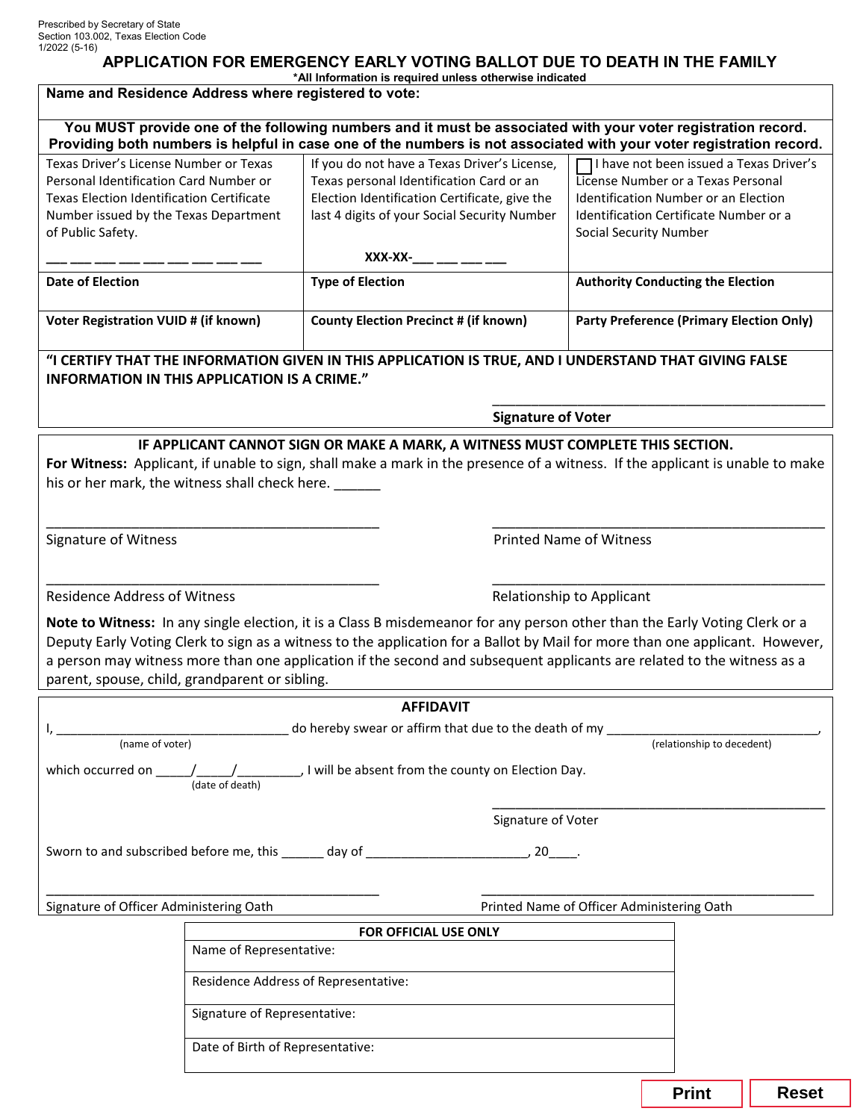## **APPLICATION FOR EMERGENCY EARLY VOTING BALLOT DUE TO DEATH IN THE FAMILY**

**\*All Information is required unless otherwise indicated**

| Name and Residence Address where registered to vote:                                                                                                                                                                                |                                  |                                                                                                                                                                                                                                                                                                                                                                                      |                               |                                                                                                                                                                  |              |  |  |
|-------------------------------------------------------------------------------------------------------------------------------------------------------------------------------------------------------------------------------------|----------------------------------|--------------------------------------------------------------------------------------------------------------------------------------------------------------------------------------------------------------------------------------------------------------------------------------------------------------------------------------------------------------------------------------|-------------------------------|------------------------------------------------------------------------------------------------------------------------------------------------------------------|--------------|--|--|
| You MUST provide one of the following numbers and it must be associated with your voter registration record.<br>Providing both numbers is helpful in case one of the numbers is not associated with your voter registration record. |                                  |                                                                                                                                                                                                                                                                                                                                                                                      |                               |                                                                                                                                                                  |              |  |  |
| Texas Driver's License Number or Texas<br>Personal Identification Card Number or<br><b>Texas Election Identification Certificate</b><br>Number issued by the Texas Department<br>of Public Safety.                                  |                                  | If you do not have a Texas Driver's License,<br>Texas personal Identification Card or an<br>Election Identification Certificate, give the<br>last 4 digits of your Social Security Number                                                                                                                                                                                            | <b>Social Security Number</b> | TI have not been issued a Texas Driver's<br>License Number or a Texas Personal<br>Identification Number or an Election<br>Identification Certificate Number or a |              |  |  |
|                                                                                                                                                                                                                                     |                                  | $XXX-XX$ -___ ___ ___                                                                                                                                                                                                                                                                                                                                                                |                               |                                                                                                                                                                  |              |  |  |
| <b>Date of Election</b>                                                                                                                                                                                                             |                                  | <b>Type of Election</b>                                                                                                                                                                                                                                                                                                                                                              |                               | <b>Authority Conducting the Election</b>                                                                                                                         |              |  |  |
| <b>Voter Registration VUID # (if known)</b>                                                                                                                                                                                         |                                  | <b>County Election Precinct # (if known)</b>                                                                                                                                                                                                                                                                                                                                         |                               | <b>Party Preference (Primary Election Only)</b>                                                                                                                  |              |  |  |
| "I CERTIFY THAT THE INFORMATION GIVEN IN THIS APPLICATION IS TRUE, AND I UNDERSTAND THAT GIVING FALSE<br>INFORMATION IN THIS APPLICATION IS A CRIME."                                                                               |                                  |                                                                                                                                                                                                                                                                                                                                                                                      |                               |                                                                                                                                                                  |              |  |  |
| <b>Signature of Voter</b>                                                                                                                                                                                                           |                                  |                                                                                                                                                                                                                                                                                                                                                                                      |                               |                                                                                                                                                                  |              |  |  |
| his or her mark, the witness shall check here.                                                                                                                                                                                      |                                  | IF APPLICANT CANNOT SIGN OR MAKE A MARK, A WITNESS MUST COMPLETE THIS SECTION.<br>For Witness: Applicant, if unable to sign, shall make a mark in the presence of a witness. If the applicant is unable to make                                                                                                                                                                      |                               |                                                                                                                                                                  |              |  |  |
| <b>Printed Name of Witness</b><br>Signature of Witness                                                                                                                                                                              |                                  |                                                                                                                                                                                                                                                                                                                                                                                      |                               |                                                                                                                                                                  |              |  |  |
| <b>Residence Address of Witness</b><br>Relationship to Applicant                                                                                                                                                                    |                                  |                                                                                                                                                                                                                                                                                                                                                                                      |                               |                                                                                                                                                                  |              |  |  |
| parent, spouse, child, grandparent or sibling.                                                                                                                                                                                      |                                  | Note to Witness: In any single election, it is a Class B misdemeanor for any person other than the Early Voting Clerk or a<br>Deputy Early Voting Clerk to sign as a witness to the application for a Ballot by Mail for more than one applicant. However,<br>a person may witness more than one application if the second and subsequent applicants are related to the witness as a |                               |                                                                                                                                                                  |              |  |  |
| <b>AFFIDAVIT</b>                                                                                                                                                                                                                    |                                  |                                                                                                                                                                                                                                                                                                                                                                                      |                               |                                                                                                                                                                  |              |  |  |
| do hereby swear or affirm that due to the death of my                                                                                                                                                                               |                                  |                                                                                                                                                                                                                                                                                                                                                                                      |                               |                                                                                                                                                                  |              |  |  |
| (relationship to decedent)<br>(name of voter)<br>which occurred on $\underline{\hspace{1cm}}$ $\underline{\hspace{1cm}}$ $\underline{\hspace{1cm}}$ will be absent from the county on Election Day.<br>(date of death)              |                                  |                                                                                                                                                                                                                                                                                                                                                                                      |                               |                                                                                                                                                                  |              |  |  |
| Signature of Voter                                                                                                                                                                                                                  |                                  |                                                                                                                                                                                                                                                                                                                                                                                      |                               |                                                                                                                                                                  |              |  |  |
|                                                                                                                                                                                                                                     |                                  |                                                                                                                                                                                                                                                                                                                                                                                      |                               |                                                                                                                                                                  |              |  |  |
| Signature of Officer Administering Oath<br>Printed Name of Officer Administering Oath                                                                                                                                               |                                  |                                                                                                                                                                                                                                                                                                                                                                                      |                               |                                                                                                                                                                  |              |  |  |
|                                                                                                                                                                                                                                     |                                  | FOR OFFICIAL USE ONLY                                                                                                                                                                                                                                                                                                                                                                |                               |                                                                                                                                                                  |              |  |  |
|                                                                                                                                                                                                                                     | Name of Representative:          |                                                                                                                                                                                                                                                                                                                                                                                      |                               |                                                                                                                                                                  |              |  |  |
| Residence Address of Representative:                                                                                                                                                                                                |                                  |                                                                                                                                                                                                                                                                                                                                                                                      |                               |                                                                                                                                                                  |              |  |  |
| Signature of Representative:                                                                                                                                                                                                        |                                  |                                                                                                                                                                                                                                                                                                                                                                                      |                               |                                                                                                                                                                  |              |  |  |
|                                                                                                                                                                                                                                     | Date of Birth of Representative: |                                                                                                                                                                                                                                                                                                                                                                                      |                               |                                                                                                                                                                  |              |  |  |
|                                                                                                                                                                                                                                     |                                  |                                                                                                                                                                                                                                                                                                                                                                                      |                               | <b>Print</b>                                                                                                                                                     | <b>Reset</b> |  |  |